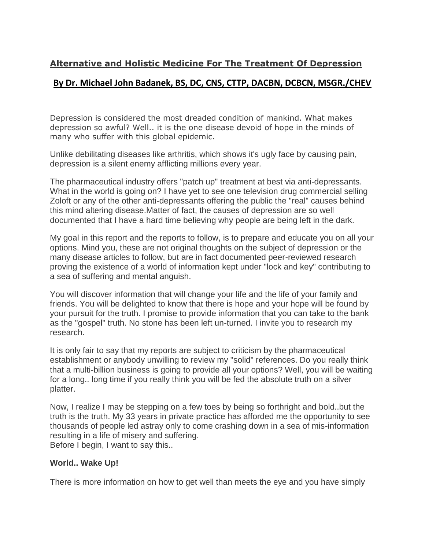# **Alternative and Holistic Medicine For The Treatment Of Depression**

# **By Dr. Michael John Badanek, BS, DC, CNS, CTTP, DACBN, DCBCN, MSGR./CHEV**

Depression is considered the most dreaded condition of mankind. What makes depression so awful? Well.. it is the one disease devoid of hope in the minds of many who suffer with this global epidemic.

Unlike debilitating diseases like arthritis, which shows it's ugly face by causing pain, depression is a silent enemy afflicting millions every year.

The pharmaceutical industry offers "patch up" treatment at best via anti-depressants. What in the world is going on? I have yet to see one television drug commercial selling Zoloft or any of the other anti-depressants offering the public the "real" causes behind this mind altering disease.Matter of fact, the causes of depression are so well documented that I have a hard time believing why people are being left in the dark.

My goal in this report and the reports to follow, is to prepare and educate you on all your options. Mind you, these are not original thoughts on the subject of depression or the many disease articles to follow, but are in fact documented peer-reviewed research proving the existence of a world of information kept under "lock and key" contributing to a sea of suffering and mental anguish.

You will discover information that will change your life and the life of your family and friends. You will be delighted to know that there is hope and your hope will be found by your pursuit for the truth. I promise to provide information that you can take to the bank as the "gospel" truth. No stone has been left un-turned. I invite you to research my research.

It is only fair to say that my reports are subject to criticism by the pharmaceutical establishment or anybody unwilling to review my "solid" references. Do you really think that a multi-billion business is going to provide all your options? Well, you will be waiting for a long.. long time if you really think you will be fed the absolute truth on a silver platter.

Now, I realize I may be stepping on a few toes by being so forthright and bold..but the truth is the truth. My 33 years in private practice has afforded me the opportunity to see thousands of people led astray only to come crashing down in a sea of mis-information resulting in a life of misery and suffering. Before I begin, I want to say this..

### **World.. Wake Up!**

There is more information on how to get well than meets the eye and you have simply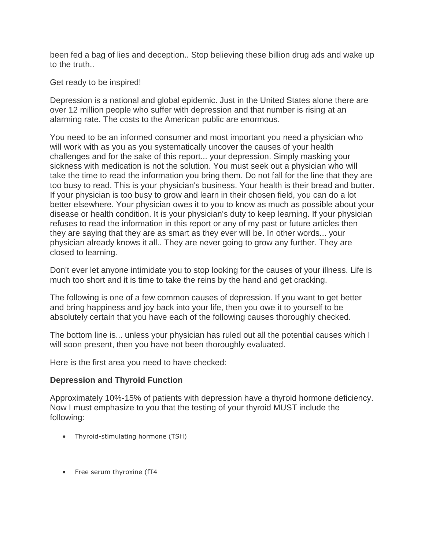been fed a bag of lies and deception.. Stop believing these billion drug ads and wake up to the truth..

Get ready to be inspired!

Depression is a national and global epidemic. Just in the United States alone there are over 12 million people who suffer with depression and that number is rising at an alarming rate. The costs to the American public are enormous.

You need to be an informed consumer and most important you need a physician who will work with as you as you systematically uncover the causes of your health challenges and for the sake of this report... your depression. Simply masking your sickness with medication is not the solution. You must seek out a physician who will take the time to read the information you bring them. Do not fall for the line that they are too busy to read. This is your physician's business. Your health is their bread and butter. If your physician is too busy to grow and learn in their chosen field, you can do a lot better elsewhere. Your physician owes it to you to know as much as possible about your disease or health condition. It is your physician's duty to keep learning. If your physician refuses to read the information in this report or any of my past or future articles then they are saying that they are as smart as they ever will be. In other words... your physician already knows it all.. They are never going to grow any further. They are closed to learning.

Don't ever let anyone intimidate you to stop looking for the causes of your illness. Life is much too short and it is time to take the reins by the hand and get cracking.

The following is one of a few common causes of depression. If you want to get better and bring happiness and joy back into your life, then you owe it to yourself to be absolutely certain that you have each of the following causes thoroughly checked.

The bottom line is... unless your physician has ruled out all the potential causes which I will soon present, then you have not been thoroughly evaluated.

Here is the first area you need to have checked:

#### **Depression and Thyroid Function**

Approximately 10%-15% of patients with depression have a thyroid hormone deficiency. Now I must emphasize to you that the testing of your thyroid MUST include the following:

- Thyroid-stimulating hormone (TSH)
- Free serum thyroxine (fT4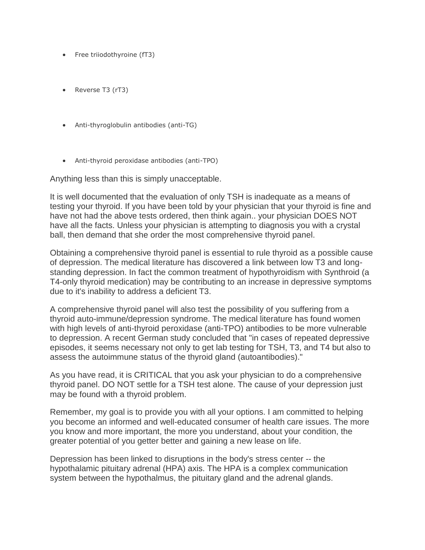- Free triiodothyroine (fT3)
- Reverse T3 (rT3)
- Anti-thyroglobulin antibodies (anti-TG)
- Anti-thyroid peroxidase antibodies (anti-TPO)

Anything less than this is simply unacceptable.

It is well documented that the evaluation of only TSH is inadequate as a means of testing your thyroid. If you have been told by your physician that your thyroid is fine and have not had the above tests ordered, then think again.. your physician DOES NOT have all the facts. Unless your physician is attempting to diagnosis you with a crystal ball, then demand that she order the most comprehensive thyroid panel.

Obtaining a comprehensive thyroid panel is essential to rule thyroid as a possible cause of depression. The medical literature has discovered a link between low T3 and longstanding depression. In fact the common treatment of hypothyroidism with Synthroid (a T4-only thyroid medication) may be contributing to an increase in depressive symptoms due to it's inability to address a deficient T3.

A comprehensive thyroid panel will also test the possibility of you suffering from a thyroid auto-immune/depression syndrome. The medical literature has found women with high levels of anti-thyroid peroxidase (anti-TPO) antibodies to be more vulnerable to depression. A recent German study concluded that "in cases of repeated depressive episodes, it seems necessary not only to get lab testing for TSH, T3, and T4 but also to assess the autoimmune status of the thyroid gland (autoantibodies)."

As you have read, it is CRITICAL that you ask your physician to do a comprehensive thyroid panel. DO NOT settle for a TSH test alone. The cause of your depression just may be found with a thyroid problem.

Remember, my goal is to provide you with all your options. I am committed to helping you become an informed and well-educated consumer of health care issues. The more you know and more important, the more you understand, about your condition, the greater potential of you getter better and gaining a new lease on life.

Depression has been linked to disruptions in the body's stress center -- the hypothalamic pituitary adrenal (HPA) axis. The HPA is a complex communication system between the hypothalmus, the pituitary gland and the adrenal glands.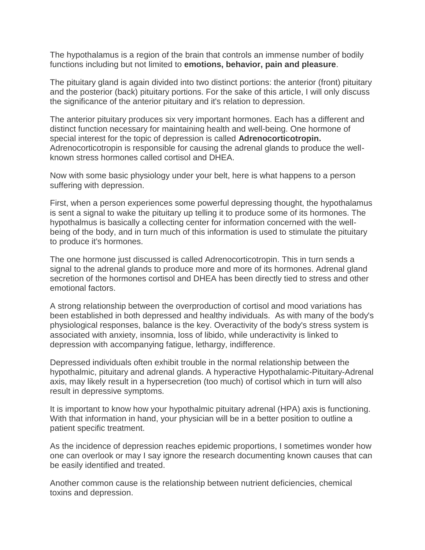The hypothalamus is a region of the brain that controls an immense number of bodily functions including but not limited to **emotions, behavior, pain and pleasure**.

The pituitary gland is again divided into two distinct portions: the anterior (front) pituitary and the posterior (back) pituitary portions. For the sake of this article, I will only discuss the significance of the anterior pituitary and it's relation to depression.

The anterior pituitary produces six very important hormones. Each has a different and distinct function necessary for maintaining health and well-being. One hormone of special interest for the topic of depression is called **Adrenocorticotropin.** Adrenocorticotropin is responsible for causing the adrenal glands to produce the wellknown stress hormones called cortisol and DHEA.

Now with some basic physiology under your belt, here is what happens to a person suffering with depression.

First, when a person experiences some powerful depressing thought, the hypothalamus is sent a signal to wake the pituitary up telling it to produce some of its hormones. The hypothalmus is basically a collecting center for information concerned with the wellbeing of the body, and in turn much of this information is used to stimulate the pituitary to produce it's hormones.

The one hormone just discussed is called Adrenocorticotropin. This in turn sends a signal to the adrenal glands to produce more and more of its hormones. Adrenal gland secretion of the hormones cortisol and DHEA has been directly tied to stress and other emotional factors.

A strong relationship between the overproduction of cortisol and mood variations has been established in both depressed and healthy individuals. As with many of the body's physiological responses, balance is the key. Overactivity of the body's stress system is associated with anxiety, insomnia, loss of libido, while underactivity is linked to depression with accompanying fatigue, lethargy, indifference.

Depressed individuals often exhibit trouble in the normal relationship between the hypothalmic, pituitary and adrenal glands. A hyperactive Hypothalamic-Pituitary-Adrenal axis, may likely result in a hypersecretion (too much) of cortisol which in turn will also result in depressive symptoms.

It is important to know how your hypothalmic pituitary adrenal (HPA) axis is functioning. With that information in hand, your physician will be in a better position to outline a patient specific treatment.

As the incidence of depression reaches epidemic proportions, I sometimes wonder how one can overlook or may I say ignore the research documenting known causes that can be easily identified and treated.

Another common cause is the relationship between nutrient deficiencies, chemical toxins and depression.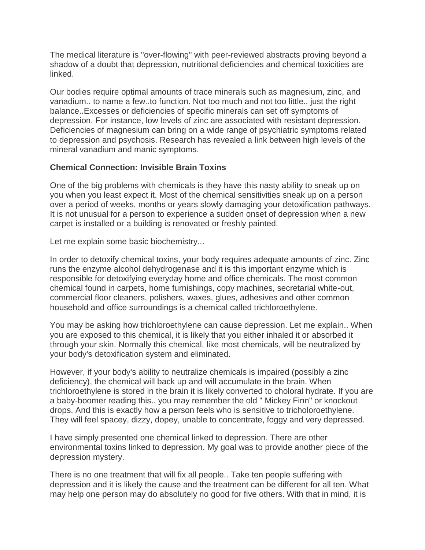The medical literature is "over-flowing" with peer-reviewed abstracts proving beyond a shadow of a doubt that depression, nutritional deficiencies and chemical toxicities are linked.

Our bodies require optimal amounts of trace minerals such as magnesium, zinc, and vanadium.. to name a few..to function. Not too much and not too little.. just the right balance..Excesses or deficiencies of specific minerals can set off symptoms of depression. For instance, low levels of zinc are associated with resistant depression. Deficiencies of magnesium can bring on a wide range of psychiatric symptoms related to depression and psychosis. Research has revealed a link between high levels of the mineral vanadium and manic symptoms.

### **Chemical Connection: Invisible Brain Toxins**

One of the big problems with chemicals is they have this nasty ability to sneak up on you when you least expect it. Most of the chemical sensitivities sneak up on a person over a period of weeks, months or years slowly damaging your detoxification pathways. It is not unusual for a person to experience a sudden onset of depression when a new carpet is installed or a building is renovated or freshly painted.

Let me explain some basic biochemistry...

In order to detoxify chemical toxins, your body requires adequate amounts of zinc. Zinc runs the enzyme alcohol dehydrogenase and it is this important enzyme which is responsible for detoxifying everyday home and office chemicals. The most common chemical found in carpets, home furnishings, copy machines, secretarial white-out, commercial floor cleaners, polishers, waxes, glues, adhesives and other common household and office surroundings is a chemical called trichloroethylene.

You may be asking how trichloroethylene can cause depression. Let me explain.. When you are exposed to this chemical, it is likely that you either inhaled it or absorbed it through your skin. Normally this chemical, like most chemicals, will be neutralized by your body's detoxification system and eliminated.

However, if your body's ability to neutralize chemicals is impaired (possibly a zinc deficiency), the chemical will back up and will accumulate in the brain. When trichloroethylene is stored in the brain it is likely converted to choloral hydrate. If you are a baby-boomer reading this.. you may remember the old " Mickey Finn" or knockout drops. And this is exactly how a person feels who is sensitive to tricholoroethylene. They will feel spacey, dizzy, dopey, unable to concentrate, foggy and very depressed.

I have simply presented one chemical linked to depression. There are other environmental toxins linked to depression. My goal was to provide another piece of the depression mystery.

There is no one treatment that will fix all people.. Take ten people suffering with depression and it is likely the cause and the treatment can be different for all ten. What may help one person may do absolutely no good for five others. With that in mind, it is